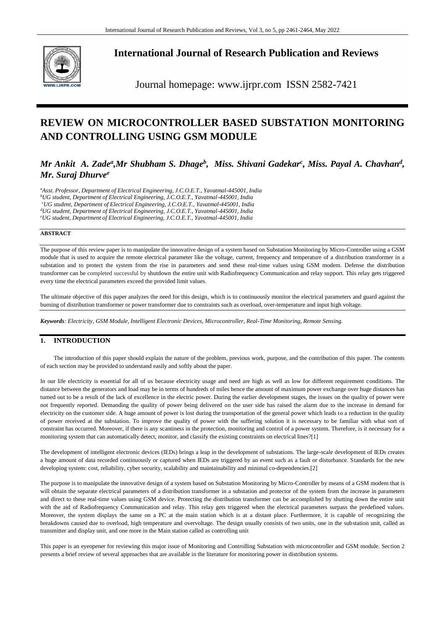

**International Journal of Research Publication and Reviews**

Journal homepage: www.ijrpr.com ISSN 2582-7421

# **REVIEW ON MICROCONTROLLER BASED SUBSTATION MONITORING AND CONTROLLING USING GSM MODULE**

# *Mr Ankit A. Zade<sup>a</sup>,Mr Shubham S. Dhage<sup>b</sup>, Miss. Shivani Gadekar<sup>c</sup>, Miss. Payal A. Chavhan<sup>d</sup>, Mr. Suraj Dhurve<sup>e</sup>*

*<sup>a</sup>Asst. Professor, Department of Electrical Engineering, J.C.O.E.T., Yavatmal-445001, India <sup>b</sup>UG student, Department of Electrical Engineering, J.C.O.E.T., Yavatmal-445001, India <sup>c</sup>UG student, Department of Electrical Engineering, J.C.O.E.T., Yavatmal-445001, India <sup>d</sup>UG student, Department of Electrical Engineering, J.C.O.E.T., Yavatmal-445001, India* 

*<sup>e</sup>UG student, Department of Electrical Engineering, J.C.O.E.T., Yavatmal-445001, India* 

#### **ABSTRACT**

The purpose of this review paper is to manipulate the innovative design of a system based on Substation Monitoring by Micro-Controller using a GSM module that is used to acquire the remote electrical parameter like the voltage, current, frequency and temperature of a distribution transformer in a substation and to protect the system from the rise in parameters and send these real-time values using GSM modem. Defense the distribution transformer can be completed successful by shutdown the entire unit with Radiofrequency Communication and relay support. This relay gets triggered every time the electrical parameters exceed the provided limit values.

The ultimate objective of this paper analyzes the need for this design, which is to continuously monitor the electrical parameters and guard against the burning of distribution transformer or power transformer due to constraints such as overload, over-temperature and input high voltage.

*Keywords: Electricity, GSM Module, Intelligent Electronic Devices, Microcontroller, Real-Time Monitoring, Remote Sensing.*

# **1. INTRODUCTION**

The introduction of this paper should explain the nature of the problem, previous work, purpose, and the contribution of this paper. The contents of each section may be provided to understand easily and softly about the paper.

In our life electricity is essential for all of us because electricity usage and need are high as well as low for different requirement conditions. The distance between the generators and load may be in terms of hundreds of miles hence the amount of maximum power exchange over huge distances has turned out to be a result of the lack of excellence in the electric power. During the earlier development stages, the issues on the quality of power were not frequently reported. Demanding the quality of power being delivered on the user side has raised the alarm due to the increase in demand for electricity on the customer side. A huge amount of power is lost during the transportation of the general power which leads to a reduction in the quality of power received at the substation. To improve the quality of power with the suffering solution it is necessary to be familiar with what sort of constraint has occurred. Moreover, if there is any scantiness in the protection, monitoring and control of a power system. Therefore, is it necessary for a monitoring system that can automatically detect, monitor, and classify the existing constraints on electrical lines?[1]

The development of intelligent electronic devices (IEDs) brings a leap in the development of substations. The large-scale development of IEDs creates a huge amount of data recorded continuously or captured when IEDs are triggered by an event such as a fault or disturbance. Standards for the new developing system: cost, reliability, cyber security, scalability and maintainability and minimal co-dependencies.[2]

The purpose is to manipulate the innovative design of a system based on Substation Monitoring by Micro-Controller by means of a GSM modem that is will obtain the separate electrical parameters of a distribution transformer in a substation and protector of the system from the increase in parameters and direct to these real-time values using GSM device. Protecting the distribution transformer can be accomplished by shutting down the entire unit with the aid of Radiofrequency Communication and relay. This relay gets triggered when the electrical parameters surpass the predefined values. Moreover, the system displays the same on a PC at the main station which is at a distant place. Furthermore, it is capable of recognizing the breakdowns caused due to overload, high temperature and overvoltage. The design usually consists of two units, one in the substation unit, called as transmitter and display unit, and one more in the Main station called as controlling unit

This paper is an eyeopener for reviewing this major issue of Monitoring and Controlling Substation with microcontroller and GSM module. Section 2 presents a brief review of several approaches that are available in the literature for monitoring power in distribution systems.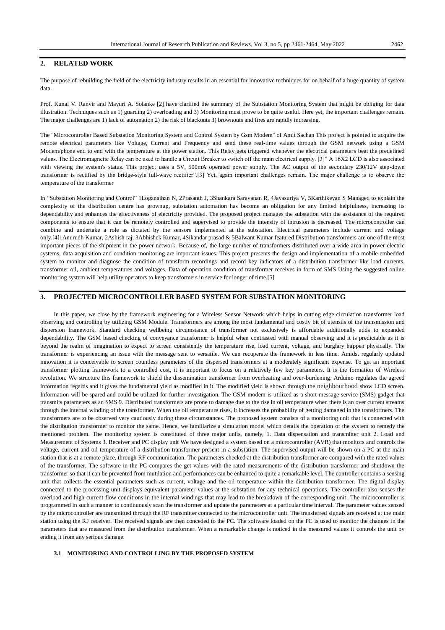## **2. RELATED WORK**

The purpose of rebuilding the field of the electricity industry results in an essential for innovative techniques for on behalf of a huge quantity of system data.

Prof. Kunal V. Ranvir and Mayuri A. Solanke [2] have clarified the summary of the Substation Monitoring System that might be obliging for data illustration. Techniques such as 1) guarding 2) overloading and 3) Monitoring must prove to be quite useful. Here yet, the important challenges remain. The major challenges are 1) lack of automation 2) the risk of blackouts 3) brownouts and fires are rapidly increasing.

The "Microcontroller Based Substation Monitoring System and Control System by Gsm Modem" of Amit Sachan This project is pointed to acquire the remote electrical parameters like Voltage, Current and Frequency and send these real-time values through the GSM network using a GSM Modem/phone end to end with the temperature at the power station. This Relay gets triggered whenever the electrical parameters beat the predefined values. The Electromagnetic Relay can be used to handle a Circuit Breaker to switch off the main electrical supply. [3]" A 16X2 LCD is also associated with viewing the system's status. This project uses a 5V, 500mA operated power supply. The AC output of the secondary 230/12V step-down transformer is rectified by the bridge-style full-wave rectifier".[3] Yet, again important challenges remain. The major challenge is to observe the temperature of the transformer

In "Substation Monitoring and Control" 1Loganathan N, 2Prasanth J, 3Shankara Saravanan R, 4Jayasuriya V, 5Karthikeyan S Managed to explain the complexity of the distribution centre has grownup, substation automation has become an obligation for any limited helpfulness, increasing its dependability and enhances the effectiveness of electricity provided. The proposed project manages the substation with the assistance of the required components to ensure that it can be remotely controlled and supervised to provide the intensity of intrusion is decreased. The microcontroller can combine and undertake a role as dictated by the sensors implemented at the substation. Electrical parameters include current and voltage only.[4]1Anurudh Kumar, 2Ashish raj, 3Abhishek Kumar, 4Sikandar prasad & 5Balwant Kumar featured Distribution transformers are one of the most important pieces of the shipment in the power network. Because of, the large number of transformers distributed over a wide area in power electric systems, data acquisition and condition monitoring are important issues. This project presents the design and implementation of a mobile embedded system to monitor and diagnose the condition of transform recordings and record key indicators of a distribution transformer like load currents, transformer oil, ambient temperatures and voltages. Data of operation condition of transformer receives in form of SMS Using the suggested online monitoring system will help utility operators to keep transformers in service for longer of time.[5]

#### **3. PROJECTED MICROCONTROLLER BASED SYSTEM FOR SUBSTATION MONITORING**

In this paper, we close by the framework engineering for a Wireless Sensor Network which helps in cutting edge circulation transformer load observing and controlling by utilizing GSM Module. Transformers are among the most fundamental and costly bit of utensils of the transmission and dispersion framework. Standard checking wellbeing circumstance of transformer not exclusively is affordable additionally adds to expanded dependability. The GSM based checking of conveyance transformer is helpful when contrasted with manual observing and it is predictable as it is beyond the realm of imagination to expect to screen consistently the temperature rise, load current, voltage, and burglary happen physically. The transformer is experiencing an issue with the message sent to versatile. We can recuperate the framework in less time. Amidst regularly updated innovation it is conceivable to screen countless parameters of the dispersed transformers at a moderately significant expense. To get an important transformer plotting framework to a controlled cost, it is important to focus on a relatively few key parameters. It is the formation of Wireless revolution. We structure this framework to shield the dissemination transformer from overheating and over-burdening. Arduino regulates the agreed information regards and it gives the fundamental yield as modified in it. The modified yield is shown through the neighbourhood show LCD screen. Information will be spared and could be utilized for further investigation. The GSM modem is utilized as a short message service (SMS) gadget that transmits parameters as an SMS 9. Distributed transformers are prone to damage due to the rise in oil temperature when there is an over current streams through the internal winding of the transformer. When the oil temperature rises, it increases the probability of getting damaged in the transformers. The transformers are to be observed very cautiously during these circumstances. The proposed system consists of a monitoring unit that is connected with the distribution transformer to monitor the same. Hence, we familiarize a simulation model which details the operation of the system to remedy the mentioned problem. The monitoring system is constituted of three major units, namely, 1. Data dispensation and transmitter unit 2. Load and Measurement of Systems 3. Receiver and PC display unit We have designed a system based on a microcontroller (AVR) that monitors and controls the voltage, current and oil temperature of a distribution transformer present in a substation. The supervised output will be shown on a PC at the main station that is at a remote place, through RF communication. The parameters checked at the distribution transformer are compared with the rated values of the transformer. The software in the PC compares the get values with the rated measurements of the distribution transformer and shutdown the transformer so that it can be prevented from mutilation and performances can be enhanced to quite a remarkable level. The controller contains a sensing unit that collects the essential parameters such as current, voltage and the oil temperature within the distribution transformer. The digital display connected to the processing unit displays equivalent parameter values at the substation for any technical operations. The controller also senses the overload and high current flow conditions in the internal windings that may lead to the breakdown of the corresponding unit. The microcontroller is programmed in such a manner to continuously scan the transformer and update the parameters at a particular time interval. The parameter values sensed by the microcontroller are transmitted through the RF transmitter connected to the microcontroller unit. The transferred signals are received at the main station using the RF receiver. The received signals are then conceded to the PC. The software loaded on the PC is used to monitor the changes in the parameters that are measured from the distribution transformer. When a remarkable change is noticed in the measured values it controls the unit by ending it from any serious damage.

# **3.1 MONITORING AND CONTROLLING BY THE PROPOSED SYSTEM**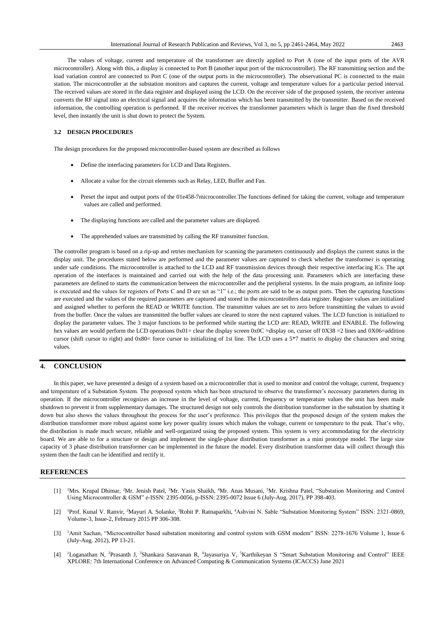The values of voltage, current and temperature of the transformer are directly applied to Port A (one of the input ports of the AVR microcontroller). Along with this, a display is connected to Port B (another input port of the microcontroller). The RF transmitting section and the load variation control are connected to Port C (one of the output ports in the microcontroller). The observational PC is connected to the main station. The microcontroller at the substation monitors and captures the current, voltage and temperature values for a particular period interval. The received values are stored in the data register and displayed using the LCD. On the receiver side of the proposed system, the receiver antenna converts the RF signal into an electrical signal and acquires the information which has been transmitted by the transmitter. Based on the received information, the controlling operation is performed. If the receiver receives the transformer parameters which is larger than the fixed threshold level, then instantly the unit is shut down to protect the System.

#### **3.2 DESIGN PROCEDURES**

The design procedures for the proposed microcontroller-based system are described as follows

- Define the interfacing parameters for LCD and Data Registers.
- Allocate a value for the circuit elements such as Relay, LED, Buffer and Fan.
- Preset the input and output ports of the 01e458-7microcontroller.The functions defined for taking the current, voltage and temperature values are called and performed.
- The displaying functions are called and the parameter values are displayed.
- The apprehended values are transmitted by calling the RF transmitter function.

The controller program is based on a rip-up and retries mechanism for scanning the parameters continuously and displays the current status in the display unit. The procedures stated below are performed and the parameter values are captured to check whether the transformer is operating under safe conditions. The microcontroller is attached to the LCD and RF transmission devices through their respective interfacing ICs. The apt operation of the interfaces is maintained and carried out with the help of the data processing unit. Parameters which are interfacing these parameters are defined to starts the communication between the microcontroller and the peripheral systems. In the main program, an infinite loop is executed and the values for registers of Ports C and D are set as "1" i.e.; the ports are said to be as output ports. Then the capturing functions are executed and the values of the required parameters are captured and stored in the microcontrollers data register. Register values are initialized and assigned whether to perform the READ or WRITE function. The transmitter values are set to zero before transmitting the values to avoid from the buffer. Once the values are transmitted the buffer values are cleared to store the next captured values. The LCD function is initialized to display the parameter values. The 3 major functions to be performed while starting the LCD are: READ, WRITE and ENABLE. The following hex values are would perform the LCD operations  $0x01$  = clear the display screen  $0x0C$  =display on, cursor off  $0x38$  =2 lines and  $0x06$ =addition cursor (shift cursor to right) and 0x80= force cursor to initializing of 1st line. The LCD uses a 5\*7 matrix to display the characters and string values.

## **4. CONCLUSION**

In this paper, we have presented a design of a system based on a microcontroller that is used to monitor and control the voltage, current, frequency and temperature of a Substation System. The proposed system which has been structured to observe the transformer's necessary parameters during its operation. If the microcontroller recognizes an increase in the level of voltage, current, frequency or temperature values the unit has been made shutdown to prevent it from supplementary damages. The structured design not only controls the distribution transformer in the substation by shutting it down but also shows the values throughout the process for the user's preference. This privileges that the proposed design of the system makes the distribution transformer more robust against some key power quality issues which makes the voltage, current or temperature to the peak. That's why, the distribution is made much secure, reliable and well-organized using the proposed system. This system is very accommodating for the electricity board. We are able to for a structure or design and implement the single-phase distribution transformer as a mini prototype model. The large size capacity of 3 phase distribution transformer can be implemented in the future the model. Every distribution transformer data will collect through this system then the fault can be identified and rectify it.

#### **REFERENCES**

- [1] <sup>1</sup>Mrs. Krupal Dhimar, <sup>2</sup>Mr. Jenish Patel, <sup>3</sup>Mr. Yasin Shaikh, <sup>4</sup>Mr. Anas Musani, <sup>5</sup>Mr. Krishna Patel, "Substation Monitoring and Control Using Microcontroller & GSM" e-ISSN: 2395-0056, p-ISSN: 2395-0072 Issue 6 (July-Aug. 2017), PP 398-403.
- [2] <sup>1</sup>Prof. Kunal V. Ranvir, <sup>2</sup>Mayuri A. Solanke, <sup>3</sup>Rohit P. Ratnaparkhi, <sup>4</sup>Ashvini N. Sable "Substation Monitoring System" ISSN: 2321-0869, Volume-3, Issue-2, February 2015 PP 306-308.
- [3] <sup>1</sup>Amit Sachan, "Microcontroller based substation monitoring and control system with GSM modem" ISSN: 2278-1676 Volume 1, Issue 6 (July-Aug. 2012), PP 13-21.
- [4] <sup>1</sup>Loganathan N, <sup>2</sup>Prasanth J, <sup>3</sup>Shankara Saravanan R, <sup>4</sup> Jayasuriya V, <sup>5</sup>Karthikeyan S "Smart Substation Monitoring and Control" IEEE XPLORE: 7th International Conference on Advanced Computing & Communication Systems (ICACCS) June 2021